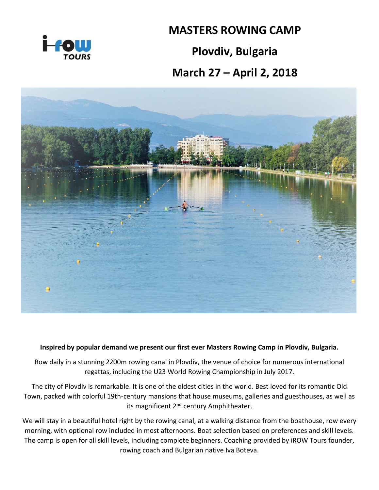

## **MASTERS ROWING CAMP**

## **Plovdiv, Bulgaria**

## **March 27 – April 2, 2018**



## **Inspired by popular demand we present our first ever Masters Rowing Camp in Plovdiv, Bulgaria.**

Row daily in a stunning 2200m rowing canal in Plovdiv, the venue of choice for numerous international regattas, including the U23 World Rowing Championship in July 2017.

The city of Plovdiv is remarkable. It is one of the oldest cities in the world. Best loved for its romantic Old Town, packed with colorful 19th-century mansions that house museums, galleries and guesthouses, as well as its magnificent 2<sup>nd</sup> century Amphitheater.

We will stay in a beautiful hotel right by the rowing canal, at a walking distance from the boathouse, row every morning, with optional row included in most afternoons. Boat selection based on preferences and skill levels. The camp is open for all skill levels, including complete beginners. Coaching provided by iROW Tours founder, rowing coach and Bulgarian native Iva Boteva.